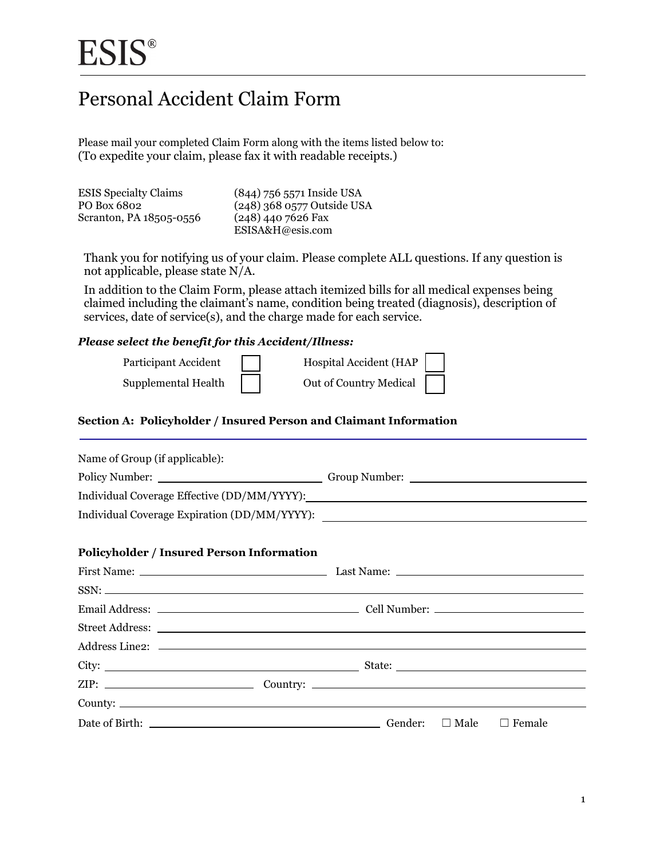# Personal Accident Claim Form

Please mail your completed Claim Form along with the items listed below to: (To expedite your claim, please fax it with readable receipts.)

| <b>ESIS</b> Specialty Claims | (844) 756 5571 Inside USA    |
|------------------------------|------------------------------|
| PO Box 6802                  | $(248)$ 368 0577 Outside USA |
| Scranton, PA 18505-0556      | $(248)$ 440 7626 Fax         |
|                              | ESISA&H@esis.com             |

Thank you for notifying us of your claim. Please complete ALL questions. If any question is not applicable, please state N/A.

In addition to the Claim Form, please attach itemized bills for all medical expenses being claimed including the claimant's name, condition being treated (diagnosis), description of services, date of service(s), and the charge made for each service.

#### *Please select the benefit for this Accident/Illness:*

| Participant Accident | Hospital Accident (HAP |  |
|----------------------|------------------------|--|
| Supplemental Health  | Out of Country Medical |  |

#### **Section A: Policyholder / Insured Person and Claimant Information**

| Name of Group (if applicable):                          |  |
|---------------------------------------------------------|--|
|                                                         |  |
|                                                         |  |
|                                                         |  |
| <b>Policyholder / Insured Person Information</b>        |  |
|                                                         |  |
|                                                         |  |
|                                                         |  |
|                                                         |  |
|                                                         |  |
|                                                         |  |
|                                                         |  |
| County:                                                 |  |
| Date of Birth: $\Box$ Cender: $\Box$ Male $\Box$ Female |  |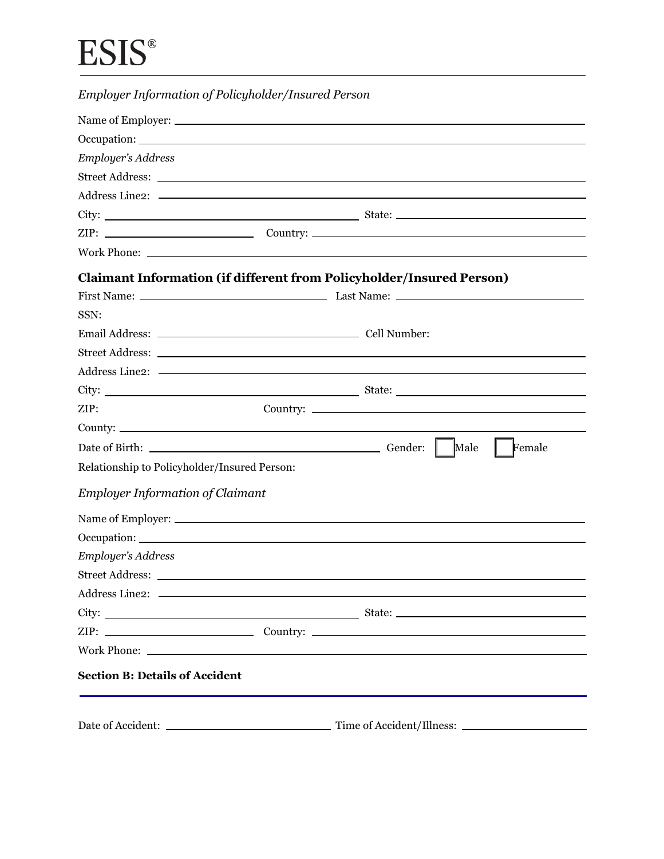| Employer's Address<br><b>Claimant Information (if different from Policyholder/Insured Person)</b><br>SSN: |  |
|-----------------------------------------------------------------------------------------------------------|--|
|                                                                                                           |  |
|                                                                                                           |  |
|                                                                                                           |  |
|                                                                                                           |  |
|                                                                                                           |  |
|                                                                                                           |  |
|                                                                                                           |  |
|                                                                                                           |  |
|                                                                                                           |  |
|                                                                                                           |  |
|                                                                                                           |  |
|                                                                                                           |  |
|                                                                                                           |  |
|                                                                                                           |  |
|                                                                                                           |  |
| ZIP:                                                                                                      |  |
|                                                                                                           |  |
| Female                                                                                                    |  |
| Relationship to Policyholder/Insured Person:                                                              |  |
| <b>Employer Information of Claimant</b>                                                                   |  |
|                                                                                                           |  |
|                                                                                                           |  |
| Employer's Address                                                                                        |  |
|                                                                                                           |  |
|                                                                                                           |  |
|                                                                                                           |  |
|                                                                                                           |  |
|                                                                                                           |  |
| <b>Section B: Details of Accident</b>                                                                     |  |
|                                                                                                           |  |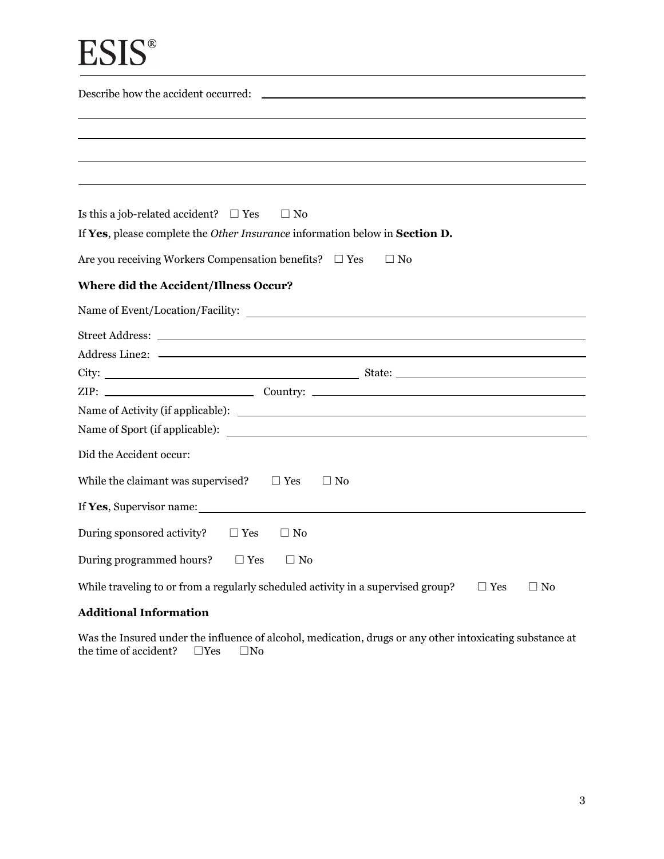| Is this a job-related accident? $\Box$ Yes<br>$\Box$ No                                                        |
|----------------------------------------------------------------------------------------------------------------|
| If Yes, please complete the Other Insurance information below in Section D.                                    |
| Are you receiving Workers Compensation benefits? $\Box$ Yes<br>$\Box$ No                                       |
|                                                                                                                |
| Where did the Accident/Illness Occur?                                                                          |
|                                                                                                                |
|                                                                                                                |
| Address Line2: New York 2014 19:30 and 2014 19:30 and 2014 19:30 and 2014 19:30 and 2014 19:30 and 2014 19:30  |
|                                                                                                                |
| $ZIP:$ Country: $\_\_\_\_\_\_\_\_\_\_$                                                                         |
|                                                                                                                |
|                                                                                                                |
| Did the Accident occur:                                                                                        |
| While the claimant was supervised? $\square$ Yes<br>$\Box$ No                                                  |
| If Yes, Supervisor name:                                                                                       |
| During sponsored activity?<br>$\Box$ Yes<br>$\Box$ No                                                          |
| During programmed hours? $\Box$ Yes<br>$\Box$ No                                                               |
| While traveling to or from a regularly scheduled activity in a supervised group?<br>$\Box$ Yes<br>$\square$ No |

# **Additional Information**

Was the Insured under the influence of alcohol, medication, drugs or any other intoxicating substance at the time of accident?  $\square$  Yes  $\square$  No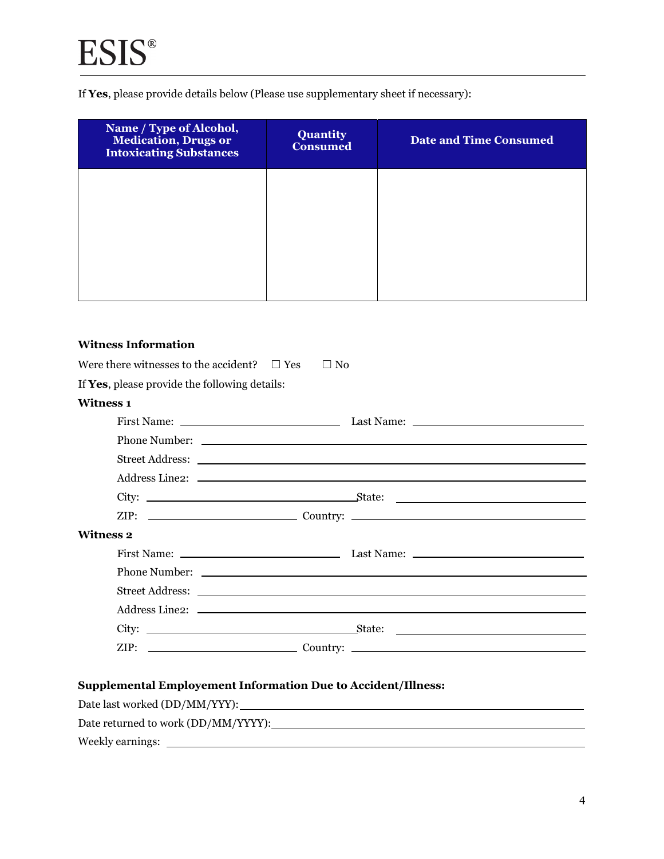If **Yes**, please provide details below (Please use supplementary sheet if necessary):

| Name / Type of Alcohol,<br><b>Medication</b> , <b>Drugs</b> or<br><b>Intoxicating Substances</b> | <b>Quantity</b><br><b>Consumed</b> | <b>Date and Time Consumed</b> |
|--------------------------------------------------------------------------------------------------|------------------------------------|-------------------------------|
|                                                                                                  |                                    |                               |
|                                                                                                  |                                    |                               |
|                                                                                                  |                                    |                               |

### **Witness Information**

Weekly earnings:

| Were there witnesses to the accident? $\square$ Yes<br>$\Box$ No     |
|----------------------------------------------------------------------|
| If Yes, please provide the following details:                        |
| <b>Witness 1</b>                                                     |
|                                                                      |
|                                                                      |
|                                                                      |
|                                                                      |
|                                                                      |
|                                                                      |
| <b>Witness 2</b>                                                     |
|                                                                      |
|                                                                      |
|                                                                      |
|                                                                      |
|                                                                      |
|                                                                      |
|                                                                      |
| <b>Supplemental Employement Information Due to Accident/Illness:</b> |
|                                                                      |
| Date returned to work (DD/MM/YYYY):                                  |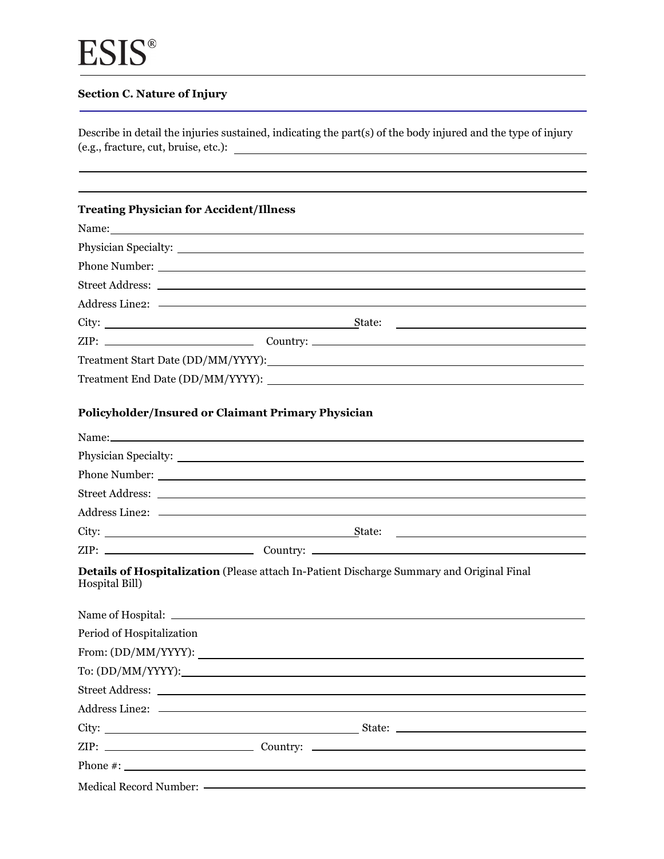$\overline{\phantom{a}}$ 

# **Section C. Nature of Injury**

Describe in detail the injuries sustained, indicating the part(s) of the body injured and the type of injury (e.g., fracture, cut, bruise, etc.):

| <b>Treating Physician for Accident/Illness</b> |                                                                                                                                                                                                                                                                                                        |
|------------------------------------------------|--------------------------------------------------------------------------------------------------------------------------------------------------------------------------------------------------------------------------------------------------------------------------------------------------------|
|                                                |                                                                                                                                                                                                                                                                                                        |
|                                                | Physician Specialty: New York Changes and Specialty:                                                                                                                                                                                                                                                   |
|                                                |                                                                                                                                                                                                                                                                                                        |
|                                                |                                                                                                                                                                                                                                                                                                        |
|                                                |                                                                                                                                                                                                                                                                                                        |
|                                                |                                                                                                                                                                                                                                                                                                        |
|                                                |                                                                                                                                                                                                                                                                                                        |
|                                                |                                                                                                                                                                                                                                                                                                        |
|                                                |                                                                                                                                                                                                                                                                                                        |
|                                                | Policyholder/Insured or Claimant Primary Physician                                                                                                                                                                                                                                                     |
|                                                | Name: Name and the same and the same and the same and the same and the same and the same and the same and the same and the same and the same and the same and the same and the same and the same and the same and the same and                                                                         |
|                                                |                                                                                                                                                                                                                                                                                                        |
|                                                |                                                                                                                                                                                                                                                                                                        |
|                                                |                                                                                                                                                                                                                                                                                                        |
|                                                |                                                                                                                                                                                                                                                                                                        |
|                                                | City: <u>State: State:</u><br><u> 1980 - Andrea Andrew Maria (h. 1980).</u>                                                                                                                                                                                                                            |
|                                                |                                                                                                                                                                                                                                                                                                        |
| Hospital Bill)                                 | Details of Hospitalization (Please attach In-Patient Discharge Summary and Original Final                                                                                                                                                                                                              |
|                                                |                                                                                                                                                                                                                                                                                                        |
| Period of Hospitalization                      |                                                                                                                                                                                                                                                                                                        |
|                                                |                                                                                                                                                                                                                                                                                                        |
|                                                |                                                                                                                                                                                                                                                                                                        |
|                                                |                                                                                                                                                                                                                                                                                                        |
|                                                |                                                                                                                                                                                                                                                                                                        |
|                                                |                                                                                                                                                                                                                                                                                                        |
|                                                |                                                                                                                                                                                                                                                                                                        |
|                                                | Phone #: $\frac{1}{2}$ = $\frac{1}{2}$ = $\frac{1}{2}$ = $\frac{1}{2}$ = $\frac{1}{2}$ = $\frac{1}{2}$ = $\frac{1}{2}$ = $\frac{1}{2}$ = $\frac{1}{2}$ = $\frac{1}{2}$ = $\frac{1}{2}$ = $\frac{1}{2}$ = $\frac{1}{2}$ = $\frac{1}{2}$ = $\frac{1}{2}$ = $\frac{1}{2}$ = $\frac{1}{2}$ = $\frac{1}{2}$ |
|                                                | Medical Record Number: <a></a>                                                                                                                                                                                                                                                                         |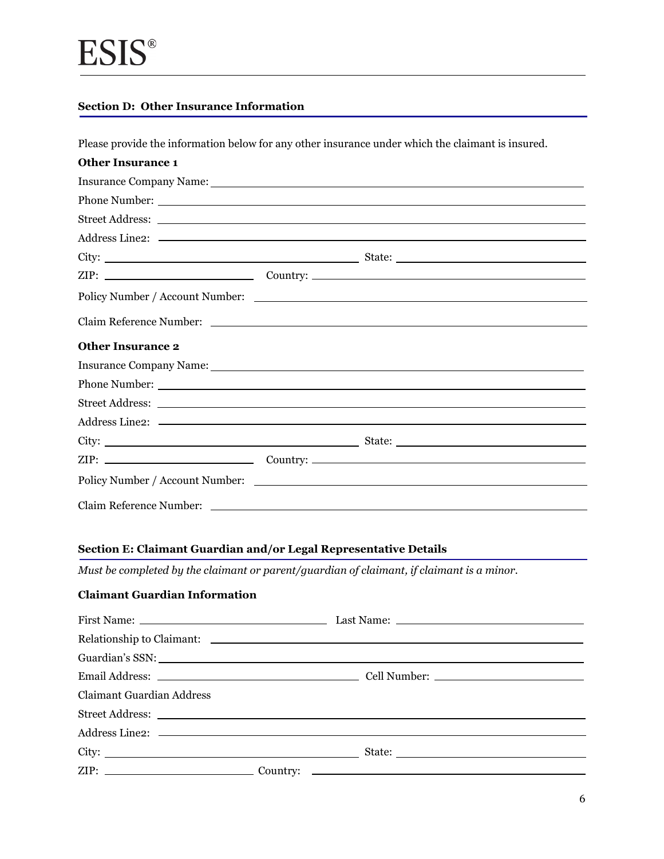# **Section D: Other Insurance Information**

Please provide the information below for any other insurance under which the claimant is insured.

| <b>Other Insurance 1</b>                                                                                                                                                                                                       |  |  |
|--------------------------------------------------------------------------------------------------------------------------------------------------------------------------------------------------------------------------------|--|--|
| Insurance Company Name: Name Company Name Company Name Company Name Company Name Company Name Company Name Company Name Company Name Company Name Company Name Company Name Company Name Company Name Company Name Company Nam |  |  |
|                                                                                                                                                                                                                                |  |  |
|                                                                                                                                                                                                                                |  |  |
|                                                                                                                                                                                                                                |  |  |
|                                                                                                                                                                                                                                |  |  |
|                                                                                                                                                                                                                                |  |  |
| Policy Number / Account Number:                                                                                                                                                                                                |  |  |
| Claim Reference Number: Latin Communication and Communication and Communication and Communication and Communication and Communication and Communication and Communication and Communication and Communication and Communicatio |  |  |
| <b>Other Insurance 2</b>                                                                                                                                                                                                       |  |  |
| Insurance Company Name: Lawrence Company Name: Lawrence Company Name: Lawrence Company Name: Lawrence Company Name: Lawrence Company Name: Lawrence Company Name: Lawrence Company Name: Lawrence Company Name: Lawrence Compa |  |  |
|                                                                                                                                                                                                                                |  |  |
|                                                                                                                                                                                                                                |  |  |
|                                                                                                                                                                                                                                |  |  |
|                                                                                                                                                                                                                                |  |  |
|                                                                                                                                                                                                                                |  |  |
|                                                                                                                                                                                                                                |  |  |
|                                                                                                                                                                                                                                |  |  |

# **Section E: Claimant Guardian and/or Legal Representative Details**

*Must be completed by the claimant or parent/guardian of claimant, if claimant is a minor.* 

# **Claimant Guardian Information**

|                                  | Relationship to Claimant: New York School and School and School and School and School and School and School and School and School and School and School and School and School and School and School and School and School and |
|----------------------------------|-------------------------------------------------------------------------------------------------------------------------------------------------------------------------------------------------------------------------------|
|                                  |                                                                                                                                                                                                                               |
|                                  |                                                                                                                                                                                                                               |
| <b>Claimant Guardian Address</b> |                                                                                                                                                                                                                               |
|                                  |                                                                                                                                                                                                                               |
|                                  |                                                                                                                                                                                                                               |
|                                  | State:                                                                                                                                                                                                                        |
|                                  |                                                                                                                                                                                                                               |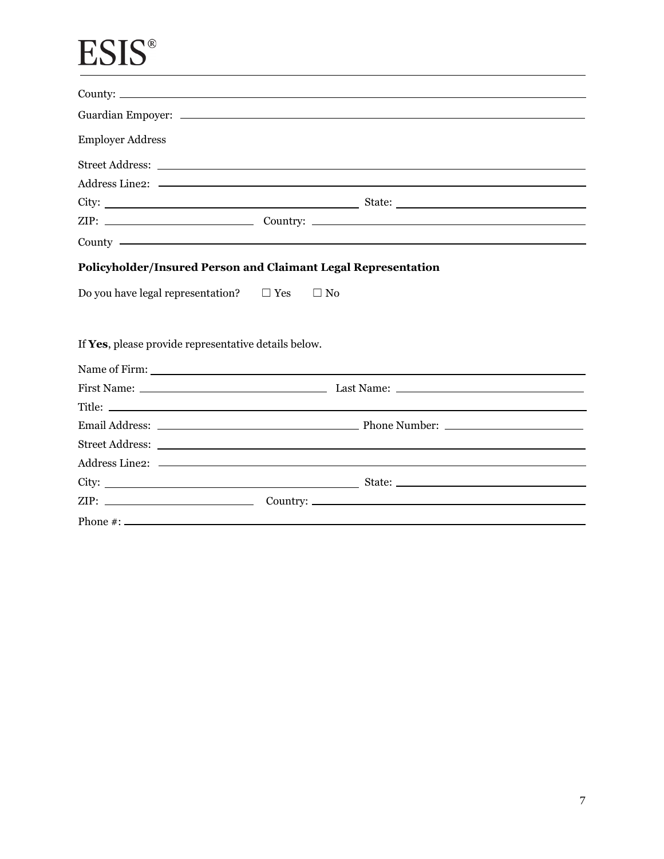# **ESIS®**

| <b>Employer Address</b>                                       |           |                                                                                                                                                                                                                                |  |
|---------------------------------------------------------------|-----------|--------------------------------------------------------------------------------------------------------------------------------------------------------------------------------------------------------------------------------|--|
|                                                               |           |                                                                                                                                                                                                                                |  |
|                                                               |           |                                                                                                                                                                                                                                |  |
|                                                               |           |                                                                                                                                                                                                                                |  |
|                                                               |           |                                                                                                                                                                                                                                |  |
|                                                               |           | County - County - County - County - County - County - County - County - County - County - County - County - County - County - County - County - County - County - County - County - County - County - County - County - County |  |
| Policyholder/Insured Person and Claimant Legal Representation |           |                                                                                                                                                                                                                                |  |
|                                                               |           |                                                                                                                                                                                                                                |  |
| Do you have legal representation? $\square$ Yes               | $\Box$ No |                                                                                                                                                                                                                                |  |
|                                                               |           |                                                                                                                                                                                                                                |  |
|                                                               |           |                                                                                                                                                                                                                                |  |
| If Yes, please provide representative details below.          |           |                                                                                                                                                                                                                                |  |
|                                                               |           |                                                                                                                                                                                                                                |  |
|                                                               |           |                                                                                                                                                                                                                                |  |
|                                                               |           |                                                                                                                                                                                                                                |  |
|                                                               |           |                                                                                                                                                                                                                                |  |
|                                                               |           |                                                                                                                                                                                                                                |  |
|                                                               |           |                                                                                                                                                                                                                                |  |
|                                                               |           |                                                                                                                                                                                                                                |  |
|                                                               |           |                                                                                                                                                                                                                                |  |
|                                                               |           |                                                                                                                                                                                                                                |  |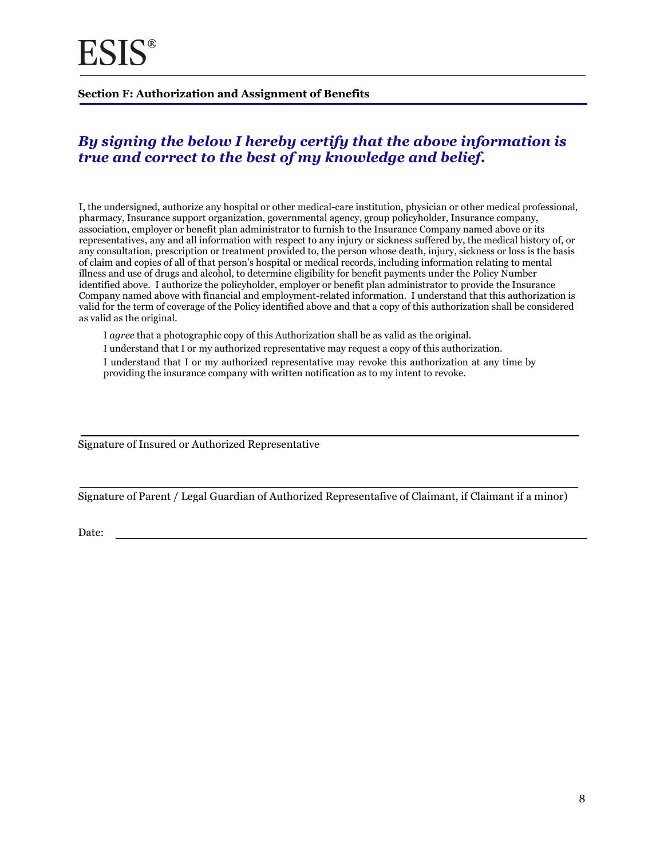#### **Section F: Authorization and Assignment of Benefits**

# *By signing the below I hereby certify that the above information is true and correct to the best of my knowledge and belief.*

I, the undersigned, authorize any hospital or other medical-care institution, physician or other medical professional, pharmacy, Insurance support organization, governmental agency, group policyholder, Insurance company, association, employer or benefit plan administrator to furnish to the Insurance Company named above or its representatives, any and all information with respect to any injury or sickness suffered by, the medical history of, or any consultation, prescription or treatment provided to, the person whose death, injury, sickness or loss is the basis of claim and copies of all of that person's hospital or medical records, including information relating to mental illness and use of drugs and alcohol, to determine eligibility for benefit payments under the Policy Number identified above. I authorize the policyholder, employer or benefit plan administrator to provide the Insurance Company named above with financial and employment-related information. I understand that this authorization is valid for the term of coverage of the Policy identified above and that a copy of this authorization shall be considered as valid as the original.

I *agree* that a photographic copy of this Authorization shall be as valid as the original.

I understand that I or my authorized representative may request a copy of this authorization.

I understand that I or my authorized representative may revoke this authorization at any time by providing the insurance company with written notification as to my intent to revoke.

Signature of Insured or Authorized Representative

Signature of Parent / Legal Guardian of Authorized Representafive of Claimant, if Claimant if a minor)

Date: